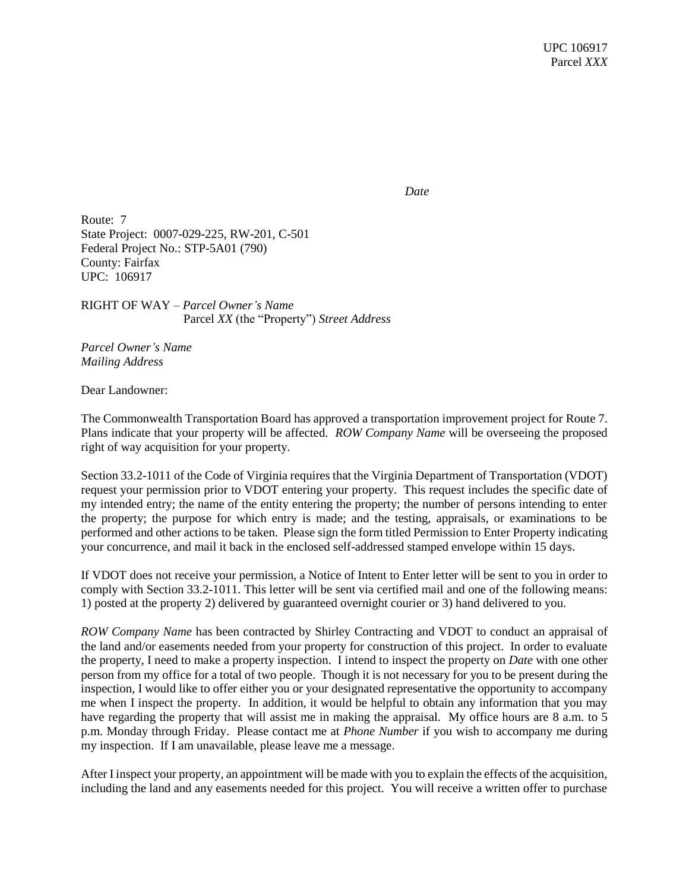*Date*

Route: 7 State Project: 0007-029-225, RW-201, C-501 Federal Project No.: STP-5A01 (790) County: Fairfax UPC: 106917

RIGHT OF WAY – *Parcel Owner's Name* Parcel *XX* (the "Property") *Street Address*

*Parcel Owner's Name Mailing Address*

Dear Landowner:

The Commonwealth Transportation Board has approved a transportation improvement project for Route 7. Plans indicate that your property will be affected. *ROW Company Name* will be overseeing the proposed right of way acquisition for your property.

Section 33.2-1011 of the Code of Virginia requires that the Virginia Department of Transportation (VDOT) request your permission prior to VDOT entering your property. This request includes the specific date of my intended entry; the name of the entity entering the property; the number of persons intending to enter the property; the purpose for which entry is made; and the testing, appraisals, or examinations to be performed and other actions to be taken. Please sign the form titled Permission to Enter Property indicating your concurrence, and mail it back in the enclosed self-addressed stamped envelope within 15 days.

If VDOT does not receive your permission, a Notice of Intent to Enter letter will be sent to you in order to comply with Section 33.2-1011. This letter will be sent via certified mail and one of the following means: 1) posted at the property 2) delivered by guaranteed overnight courier or 3) hand delivered to you.

*ROW Company Name* has been contracted by Shirley Contracting and VDOT to conduct an appraisal of the land and/or easements needed from your property for construction of this project. In order to evaluate the property, I need to make a property inspection. I intend to inspect the property on *Date* with one other person from my office for a total of two people. Though it is not necessary for you to be present during the inspection, I would like to offer either you or your designated representative the opportunity to accompany me when I inspect the property. In addition, it would be helpful to obtain any information that you may have regarding the property that will assist me in making the appraisal. My office hours are 8 a.m. to 5 p.m. Monday through Friday. Please contact me at *Phone Number* if you wish to accompany me during my inspection. If I am unavailable, please leave me a message.

After I inspect your property, an appointment will be made with you to explain the effects of the acquisition, including the land and any easements needed for this project. You will receive a written offer to purchase